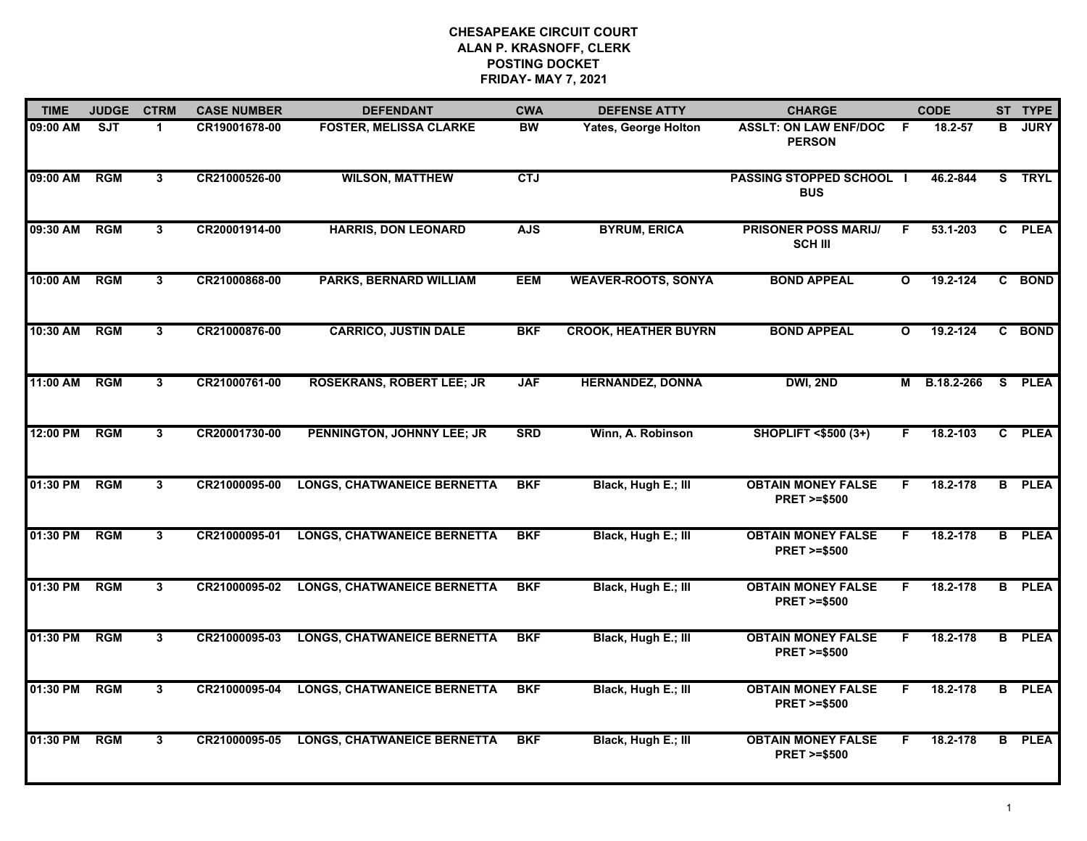| <b>TIME</b> | <b>JUDGE</b> | <b>CTRM</b>  | <b>CASE NUMBER</b> | <b>DEFENDANT</b>                   | <b>CWA</b> | <b>DEFENSE ATTY</b>         | <b>CHARGE</b>                                       |              | <b>CODE</b>  |                | ST TYPE       |
|-------------|--------------|--------------|--------------------|------------------------------------|------------|-----------------------------|-----------------------------------------------------|--------------|--------------|----------------|---------------|
| 09:00 AM    | SJT          | -1           | CR19001678-00      | <b>FOSTER, MELISSA CLARKE</b>      | <b>BW</b>  | <b>Yates, George Holton</b> | <b>ASSLT: ON LAW ENF/DOC</b><br><b>PERSON</b>       | - F          | $18.2 - 57$  | в              | <b>JURY</b>   |
| 09:00 AM    | RGM          | 3            | CR21000526-00      | <b>WILSON, MATTHEW</b>             | <b>CTJ</b> |                             | <b>PASSING STOPPED SCHOOL I</b><br><b>BUS</b>       |              | 46.2-844     | S.             | <b>TRYL</b>   |
| 09:30 AM    | RGM          | $\mathbf{3}$ | CR20001914-00      | <b>HARRIS, DON LEONARD</b>         | <b>AJS</b> | <b>BYRUM, ERICA</b>         | <b>PRISONER POSS MARIJ/</b><br><b>SCH III</b>       | F            | 53.1-203     | $\mathbf{c}$   | <b>PLEA</b>   |
| 10:00 AM    | <b>RGM</b>   | 3            | CR21000868-00      | <b>PARKS, BERNARD WILLIAM</b>      | <b>EEM</b> | <b>WEAVER-ROOTS, SONYA</b>  | <b>BOND APPEAL</b>                                  | O            | 19.2-124     | C.             | <b>BOND</b>   |
| 10:30 AM    | <b>RGM</b>   | 3            | CR21000876-00      | <b>CARRICO, JUSTIN DALE</b>        | <b>BKF</b> | <b>CROOK, HEATHER BUYRN</b> | <b>BOND APPEAL</b>                                  | $\mathbf{o}$ | 19.2-124     |                | C BOND        |
| 11:00 AM    | RGM          | 3            | CR21000761-00      | <b>ROSEKRANS, ROBERT LEE; JR</b>   | <b>JAF</b> | <b>HERNANDEZ, DONNA</b>     | DWI, 2ND                                            |              | M B.18.2-266 | <b>S</b>       | <b>PLEA</b>   |
| 12:00 PM    | RGM          | 3            | CR20001730-00      | PENNINGTON, JOHNNY LEE; JR         | <b>SRD</b> | Winn, A. Robinson           | <b>SHOPLIFT &lt;\$500 (3+)</b>                      | F.           | 18.2-103     |                | C PLEA        |
| 01:30 PM    | RGM          | 3            | CR21000095-00      | <b>LONGS, CHATWANEICE BERNETTA</b> | <b>BKF</b> | Black, Hugh E.; III         | <b>OBTAIN MONEY FALSE</b><br><b>PRET &gt;=\$500</b> | F.           | 18.2-178     | B              | <b>PLEA</b>   |
| 01:30 PM    | <b>RGM</b>   | 3            | CR21000095-01      | <b>LONGS, CHATWANEICE BERNETTA</b> | <b>BKF</b> | Black, Hugh E.; III         | <b>OBTAIN MONEY FALSE</b><br><b>PRET &gt;=\$500</b> | F            | 18.2-178     | B              | <b>PLEA</b>   |
| 01:30 PM    | <b>RGM</b>   | $\mathbf{3}$ | CR21000095-02      | <b>LONGS, CHATWANEICE BERNETTA</b> | <b>BKF</b> | Black, Hugh E.; III         | <b>OBTAIN MONEY FALSE</b><br><b>PRET &gt;=\$500</b> | F            | 18.2-178     |                | <b>B</b> PLEA |
| 01:30 PM    | RGM          | 3            | CR21000095-03      | <b>LONGS, CHATWANEICE BERNETTA</b> | <b>BKF</b> | Black, Hugh E.; III         | <b>OBTAIN MONEY FALSE</b><br><b>PRET &gt;=\$500</b> | F            | 18.2-178     | B.             | <b>PLEA</b>   |
| 01:30 PM    | <b>RGM</b>   | 3            | CR21000095-04      | <b>LONGS, CHATWANEICE BERNETTA</b> | <b>BKF</b> | Black, Hugh E.; III         | <b>OBTAIN MONEY FALSE</b><br><b>PRET &gt;=\$500</b> | F.           | 18.2-178     | $\overline{B}$ | <b>PLEA</b>   |
| 01:30 PM    | <b>RGM</b>   | 3            | CR21000095-05      | <b>LONGS, CHATWANEICE BERNETTA</b> | <b>BKF</b> | Black, Hugh E.; III         | <b>OBTAIN MONEY FALSE</b><br><b>PRET &gt;=\$500</b> | F            | 18.2-178     | B.             | <b>PLEA</b>   |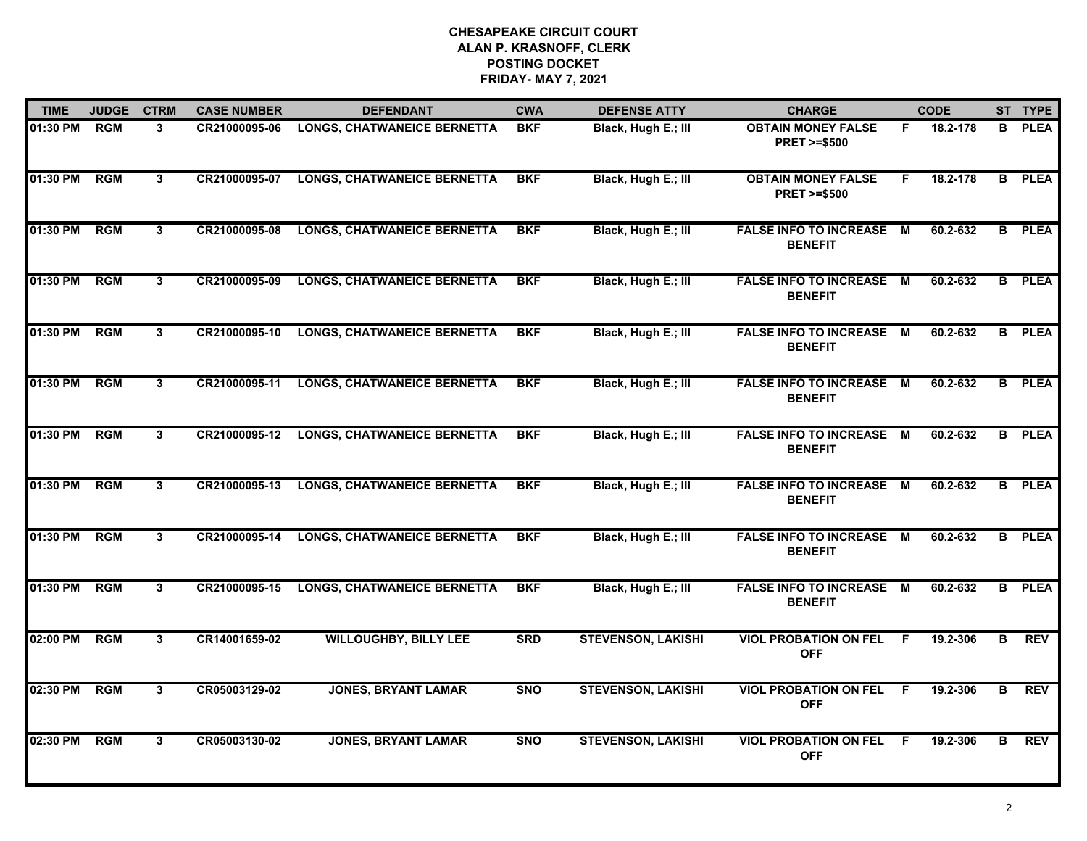| <b>TIME</b> | <b>JUDGE</b> | <b>CTRM</b>  | <b>CASE NUMBER</b> | <b>DEFENDANT</b>                   | <b>CWA</b> | <b>DEFENSE ATTY</b>       | <b>CHARGE</b>                                       |    | <b>CODE</b> |                | ST TYPE     |
|-------------|--------------|--------------|--------------------|------------------------------------|------------|---------------------------|-----------------------------------------------------|----|-------------|----------------|-------------|
| 01:30 PM    | <b>RGM</b>   | 3            | CR21000095-06      | <b>LONGS, CHATWANEICE BERNETTA</b> | <b>BKF</b> | Black, Hugh E.; III       | <b>OBTAIN MONEY FALSE</b><br><b>PRET &gt;=\$500</b> | F. | 18.2-178    | B              | <b>PLEA</b> |
| 01:30 PM    | <b>RGM</b>   | 3            | CR21000095-07      | <b>LONGS, CHATWANEICE BERNETTA</b> | <b>BKF</b> | Black, Hugh E.; III       | <b>OBTAIN MONEY FALSE</b><br><b>PRET &gt;=\$500</b> | F. | 18.2-178    | B              | <b>PLEA</b> |
| 01:30 PM    | RGM          | 3            | CR21000095-08      | <b>LONGS, CHATWANEICE BERNETTA</b> | <b>BKF</b> | Black, Hugh E.; III       | <b>FALSE INFO TO INCREASE</b><br><b>BENEFIT</b>     | М  | 60.2-632    | $\overline{B}$ | <b>PLEA</b> |
| 01:30 PM    | <b>RGM</b>   | 3            | CR21000095-09      | <b>LONGS, CHATWANEICE BERNETTA</b> | <b>BKF</b> | Black, Hugh E.; III       | <b>FALSE INFO TO INCREASE M</b><br><b>BENEFIT</b>   |    | 60.2-632    | B              | <b>PLEA</b> |
| 01:30 PM    | <b>RGM</b>   | 3            | CR21000095-10      | <b>LONGS, CHATWANEICE BERNETTA</b> | <b>BKF</b> | Black, Hugh E.; III       | <b>FALSE INFO TO INCREASE M</b><br><b>BENEFIT</b>   |    | 60.2-632    | B              | <b>PLEA</b> |
| 01:30 PM    | RGM          | 3            | CR21000095-11      | <b>LONGS, CHATWANEICE BERNETTA</b> | <b>BKF</b> | Black, Hugh E.; Ill       | <b>FALSE INFO TO INCREASE</b><br><b>BENEFIT</b>     | M  | 60.2-632    | в              | <b>PLEA</b> |
| 01:30 PM    | RGM          | 3            | CR21000095-12      | <b>LONGS, CHATWANEICE BERNETTA</b> | <b>BKF</b> | Black, Hugh E.; III       | <b>FALSE INFO TO INCREASE</b><br><b>BENEFIT</b>     | M  | 60.2-632    | $\overline{B}$ | <b>PLEA</b> |
| 01:30 PM    | <b>RGM</b>   | 3            | CR21000095-13      | <b>LONGS, CHATWANEICE BERNETTA</b> | <b>BKF</b> | Black, Hugh E.; III       | FALSE INFO TO INCREASE M<br><b>BENEFIT</b>          |    | 60.2-632    | B.             | <b>PLEA</b> |
| 01:30 PM    | <b>RGM</b>   | 3            | CR21000095-14      | <b>LONGS, CHATWANEICE BERNETTA</b> | <b>BKF</b> | Black, Hugh E.; III       | <b>FALSE INFO TO INCREASE M</b><br><b>BENEFIT</b>   |    | 60.2-632    | B              | <b>PLEA</b> |
| 01:30 PM    | <b>RGM</b>   | $\mathbf{3}$ | CR21000095-15      | <b>LONGS, CHATWANEICE BERNETTA</b> | <b>BKF</b> | Black, Hugh E.; III       | <b>FALSE INFO TO INCREASE</b><br><b>BENEFIT</b>     | M  | 60.2-632    | B              | <b>PLEA</b> |
| 02:00 PM    | <b>RGM</b>   | 3            | CR14001659-02      | <b>WILLOUGHBY, BILLY LEE</b>       | <b>SRD</b> | <b>STEVENSON, LAKISHI</b> | <b>VIOL PROBATION ON FEL</b><br><b>OFF</b>          | -F | 19.2-306    | в              | <b>REV</b>  |
| 02:30 PM    | RGM          | $\mathbf{3}$ | CR05003129-02      | <b>JONES, BRYANT LAMAR</b>         | <b>SNO</b> | <b>STEVENSON, LAKISHI</b> | <b>VIOL PROBATION ON FEL</b><br><b>OFF</b>          | F. | 19.2-306    | в              | <b>REV</b>  |
| 02:30 PM    | <b>RGM</b>   | 3            | CR05003130-02      | <b>JONES, BRYANT LAMAR</b>         | <b>SNO</b> | <b>STEVENSON, LAKISHI</b> | <b>VIOL PROBATION ON FEL</b><br><b>OFF</b>          | -F | 19.2-306    | в              | <b>REV</b>  |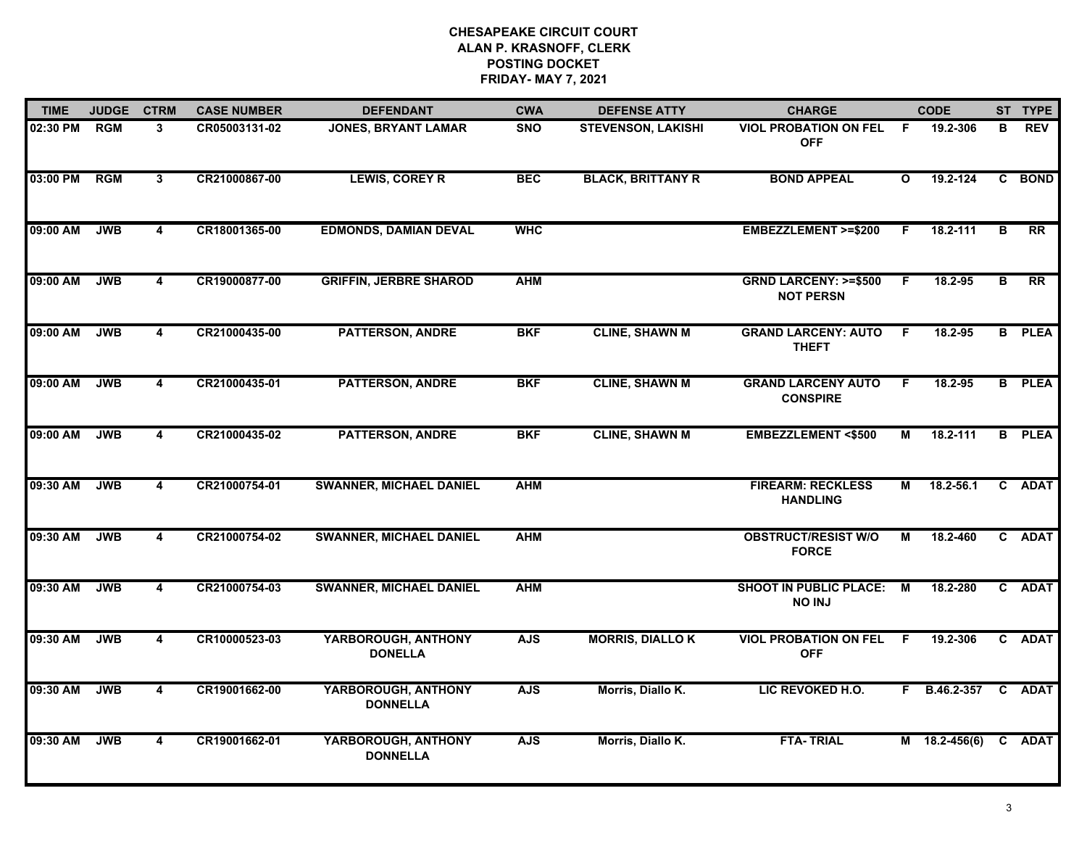| <b>TIME</b> | <b>JUDGE</b> | <b>CTRM</b>             | <b>CASE NUMBER</b> | <b>DEFENDANT</b>                       | <b>CWA</b> | <b>DEFENSE ATTY</b>       | <b>CHARGE</b>                                       |              | <b>CODE</b>     |                | ST TYPE       |
|-------------|--------------|-------------------------|--------------------|----------------------------------------|------------|---------------------------|-----------------------------------------------------|--------------|-----------------|----------------|---------------|
| 02:30 PM    | <b>RGM</b>   | 3                       | CR05003131-02      | <b>JONES, BRYANT LAMAR</b>             | <b>SNO</b> | <b>STEVENSON, LAKISHI</b> | <b>VIOL PROBATION ON FEL</b><br><b>OFF</b>          | -F           | 19.2-306        | В              | <b>REV</b>    |
| 03:00 PM    | <b>RGM</b>   | $\mathbf{3}$            | CR21000867-00      | <b>LEWIS, COREY R</b>                  | <b>BEC</b> | <b>BLACK, BRITTANY R</b>  | <b>BOND APPEAL</b>                                  | $\mathbf{o}$ | 19.2-124        |                | C BOND        |
| 09:00 AM    | <b>JWB</b>   | $\overline{4}$          | CR18001365-00      | <b>EDMONDS, DAMIAN DEVAL</b>           | <b>WHC</b> |                           | <b>EMBEZZLEMENT &gt;=\$200</b>                      | F.           | $18.2 - 111$    | $\overline{B}$ | RR            |
| 09:00 AM    | <b>JWB</b>   | 4                       | CR19000877-00      | <b>GRIFFIN, JERBRE SHAROD</b>          | <b>AHM</b> |                           | <b>GRND LARCENY: &gt;=\$500</b><br><b>NOT PERSN</b> | F.           | 18.2-95         | в              | <b>RR</b>     |
| 09:00 AM    | <b>JWB</b>   | 4                       | CR21000435-00      | <b>PATTERSON, ANDRE</b>                | <b>BKF</b> | <b>CLINE, SHAWN M</b>     | <b>GRAND LARCENY: AUTO</b><br><b>THEFT</b>          | F.           | 18.2-95         |                | <b>B</b> PLEA |
| 09:00 AM    | <b>JWB</b>   | $\overline{4}$          | CR21000435-01      | <b>PATTERSON, ANDRE</b>                | <b>BKF</b> | <b>CLINE, SHAWN M</b>     | <b>GRAND LARCENY AUTO</b><br><b>CONSPIRE</b>        | F.           | 18.2-95         |                | <b>B</b> PLEA |
| 09:00 AM    | <b>JWB</b>   | $\overline{4}$          | CR21000435-02      | <b>PATTERSON, ANDRE</b>                | <b>BKF</b> | <b>CLINE, SHAWN M</b>     | <b>EMBEZZLEMENT &lt;\$500</b>                       | М            | $18.2 - 111$    |                | <b>B</b> PLEA |
| 09:30 AM    | <b>JWB</b>   | $\overline{\mathbf{4}}$ | CR21000754-01      | <b>SWANNER, MICHAEL DANIEL</b>         | <b>AHM</b> |                           | <b>FIREARM: RECKLESS</b><br><b>HANDLING</b>         | м            | 18.2-56.1       |                | C ADAT        |
| 09:30 AM    | <b>JWB</b>   | 4                       | CR21000754-02      | <b>SWANNER, MICHAEL DANIEL</b>         | <b>AHM</b> |                           | <b>OBSTRUCT/RESIST W/O</b><br><b>FORCE</b>          | м            | 18.2-460        |                | C ADAT        |
| 09:30 AM    | <b>JWB</b>   | $\overline{4}$          | CR21000754-03      | <b>SWANNER, MICHAEL DANIEL</b>         | <b>AHM</b> |                           | <b>SHOOT IN PUBLIC PLACE:</b><br><b>NO INJ</b>      | M            | 18.2-280        |                | C ADAT        |
| 09:30 AM    | <b>JWB</b>   | 4                       | CR10000523-03      | YARBOROUGH, ANTHONY<br><b>DONELLA</b>  | <b>AJS</b> | <b>MORRIS, DIALLO K</b>   | <b>VIOL PROBATION ON FEL</b><br><b>OFF</b>          | F.           | 19.2-306        |                | C ADAT        |
| 09:30 AM    | <b>JWB</b>   | $\overline{\mathbf{4}}$ | CR19001662-00      | YARBOROUGH, ANTHONY<br><b>DONNELLA</b> | <b>AJS</b> | Morris, Diallo K.         | LIC REVOKED H.O.                                    | F.           | B.46.2-357      |                | C ADAT        |
| 09:30 AM    | <b>JWB</b>   | 4                       | CR19001662-01      | YARBOROUGH, ANTHONY<br><b>DONNELLA</b> | <b>AJS</b> | Morris, Diallo K.         | <b>FTA-TRIAL</b>                                    |              | $M$ 18.2-456(6) |                | C ADAT        |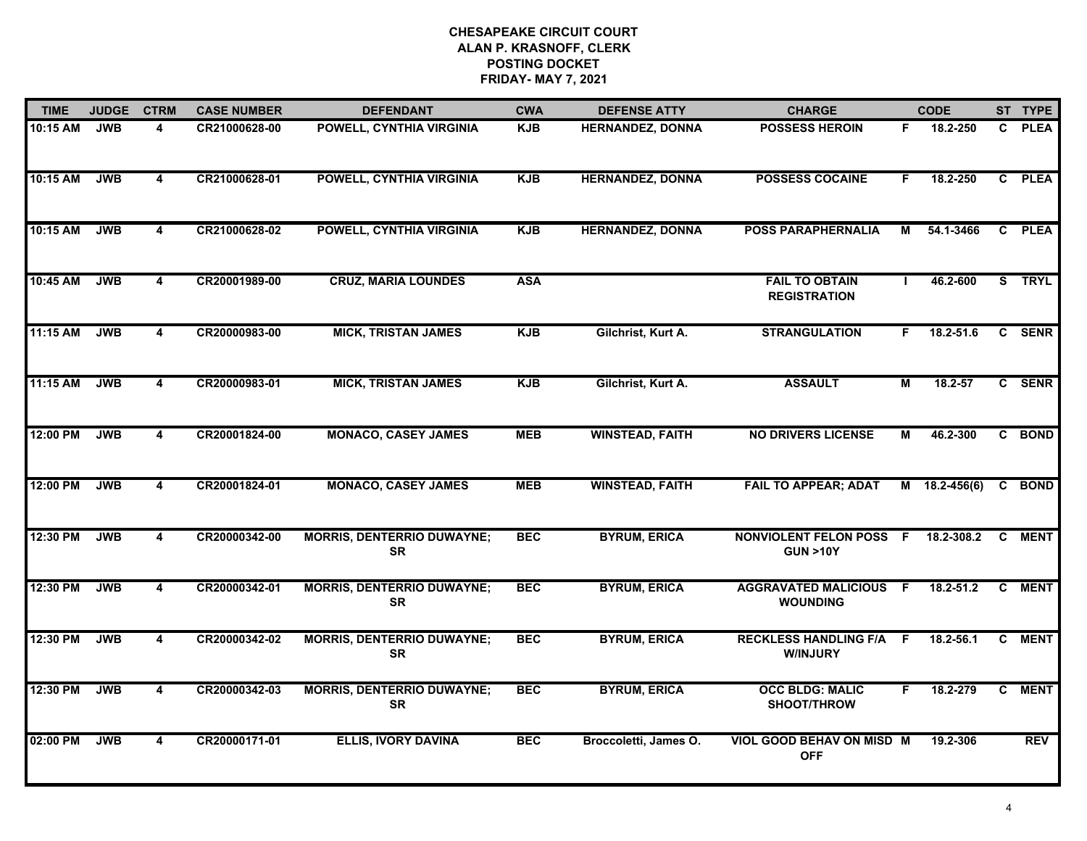| <b>TIME</b> | <b>JUDGE</b> | <b>CTRM</b>             | <b>CASE NUMBER</b> | <b>DEFENDANT</b>                               | <b>CWA</b> | <b>DEFENSE ATTY</b>     | <b>CHARGE</b>                                        |    | <b>CODE</b>     |    | ST TYPE     |
|-------------|--------------|-------------------------|--------------------|------------------------------------------------|------------|-------------------------|------------------------------------------------------|----|-----------------|----|-------------|
| 10:15 AM    | <b>JWB</b>   | 4                       | CR21000628-00      | POWELL, CYNTHIA VIRGINIA                       | <b>KJB</b> | <b>HERNANDEZ, DONNA</b> | <b>POSSESS HEROIN</b>                                | F. | 18.2-250        | C. | <b>PLEA</b> |
| 10:15 AM    | <b>JWB</b>   | $\overline{\mathbf{4}}$ | CR21000628-01      | <b>POWELL, CYNTHIA VIRGINIA</b>                | <b>KJB</b> | <b>HERNANDEZ, DONNA</b> | <b>POSSESS COCAINE</b>                               | F. | 18.2-250        |    | C PLEA      |
| 10:15 AM    | <b>JWB</b>   | $\overline{4}$          | CR21000628-02      | POWELL, CYNTHIA VIRGINIA                       | <b>KJB</b> | <b>HERNANDEZ, DONNA</b> | <b>POSS PARAPHERNALIA</b>                            | М  | 54.1-3466       |    | C PLEA      |
| 10:45 AM    | <b>JWB</b>   | 4                       | CR20001989-00      | <b>CRUZ, MARIA LOUNDES</b>                     | <b>ASA</b> |                         | <b>FAIL TO OBTAIN</b><br><b>REGISTRATION</b>         |    | 46.2-600        |    | S TRYL      |
| 11:15 AM    | <b>JWB</b>   | 4                       | CR20000983-00      | <b>MICK, TRISTAN JAMES</b>                     | <b>KJB</b> | Gilchrist, Kurt A.      | <b>STRANGULATION</b>                                 | F. | 18.2-51.6       |    | C SENR      |
| 11:15 AM    | <b>JWB</b>   | 4                       | CR20000983-01      | <b>MICK, TRISTAN JAMES</b>                     | <b>KJB</b> | Gilchrist, Kurt A.      | <b>ASSAULT</b>                                       | М  | 18.2-57         |    | C SENR      |
| 12:00 PM    | <b>JWB</b>   | $\overline{\mathbf{4}}$ | CR20001824-00      | <b>MONACO, CASEY JAMES</b>                     | <b>MEB</b> | <b>WINSTEAD, FAITH</b>  | <b>NO DRIVERS LICENSE</b>                            | М  | 46.2-300        |    | C BOND      |
| 12:00 PM    | <b>JWB</b>   | 4                       | CR20001824-01      | <b>MONACO, CASEY JAMES</b>                     | <b>MEB</b> | <b>WINSTEAD, FAITH</b>  | <b>FAIL TO APPEAR; ADAT</b>                          |    | $M$ 18.2-456(6) |    | C BOND      |
| 12:30 PM    | <b>JWB</b>   | 4                       | CR20000342-00      | <b>MORRIS, DENTERRIO DUWAYNE;</b><br><b>SR</b> | <b>BEC</b> | <b>BYRUM, ERICA</b>     | <b>NONVIOLENT FELON POSS F</b><br><b>GUN &gt;10Y</b> |    | 18.2-308.2      |    | C MENT      |
| 12:30 PM    | <b>JWB</b>   | 4                       | CR20000342-01      | <b>MORRIS, DENTERRIO DUWAYNE;</b><br><b>SR</b> | <b>BEC</b> | <b>BYRUM, ERICA</b>     | <b>AGGRAVATED MALICIOUS F</b><br><b>WOUNDING</b>     |    | $18.2 - 51.2$   |    | C MENT      |
| 12:30 PM    | <b>JWB</b>   | $\overline{\mathbf{4}}$ | CR20000342-02      | <b>MORRIS, DENTERRIO DUWAYNE;</b><br><b>SR</b> | <b>BEC</b> | <b>BYRUM, ERICA</b>     | <b>RECKLESS HANDLING F/A F</b><br><b>W/INJURY</b>    |    | 18.2-56.1       | C. | <b>MENT</b> |
| 12:30 PM    | <b>JWB</b>   | 4                       | CR20000342-03      | <b>MORRIS, DENTERRIO DUWAYNE;</b><br><b>SR</b> | <b>BEC</b> | <b>BYRUM, ERICA</b>     | <b>OCC BLDG: MALIC</b><br>SHOOT/THROW                | F. | 18.2-279        |    | C MENT      |
| 02:00 PM    | <b>JWB</b>   | 4                       | CR20000171-01      | <b>ELLIS, IVORY DAVINA</b>                     | <b>BEC</b> | Broccoletti, James O.   | VIOL GOOD BEHAV ON MISD M<br><b>OFF</b>              |    | 19.2-306        |    | <b>REV</b>  |